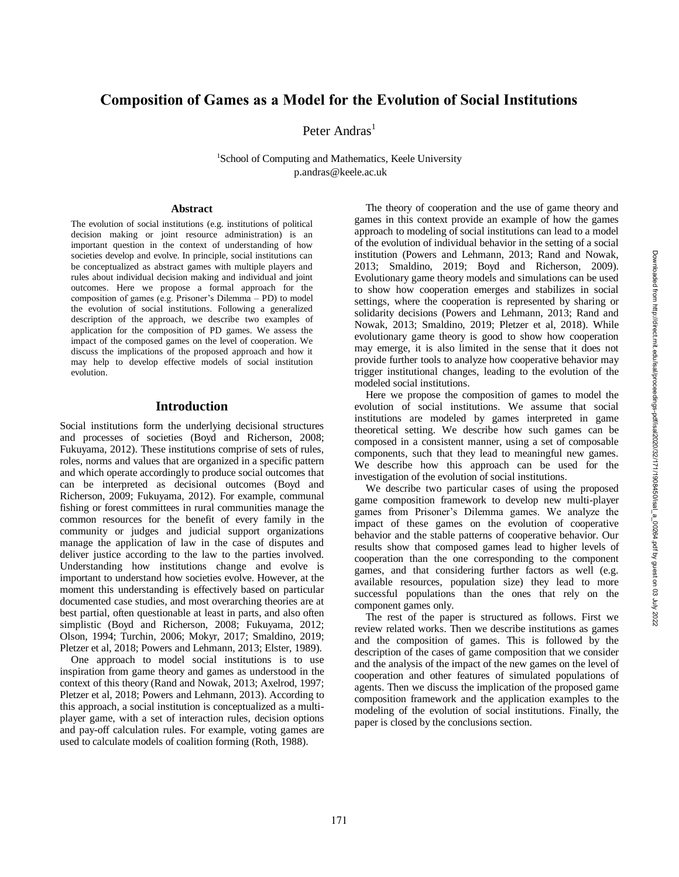# **Composition of Games as a Model for the Evolution of Social Institutions**

Peter Andras<sup>1</sup>

<sup>1</sup>School of Computing and Mathematics, Keele University p.andras @keele.ac.uk

#### **Abstract**

The evolution of social institutions (e.g. institutions of political decision making or joint resource administration) is an important question in the context of understanding of how societies develop and evolve. In principle, social institutions can be conceptualized as abstract games with multiple players and rules about individual decision making and individual and joint outcomes. Here we propose a formal approach for the composition of games (e.g. Prisoner's Dilemma – PD) to model the evolution of social institutions. Following a generalized description of the approach, we describe two examples of application for the composition of PD games. We assess the impact of the composed games on the level of cooperation. We discuss the implications of the proposed approach and how it may help to develop effective models of social institution evolution.

#### **Introduction**

Social institutions form the underlying decisional structures and processes of societies (Boyd and Richerson, 200 8; Fukuyama, 2012). These institutions comprise of sets of rules, roles, norms and values that are organized in a specific pattern and which operate accordingly to produce social outcomes that can be interpreted as decisional outcomes (Boyd and Richerson, 2009; Fukuyama, 2012). For example, communal fishing or forest committees in rural communities manage the common resources for the benefit of every family in the community or judges and judicial support organizations manage the application of law in the case of disputes and deliver justice according to the law to the parties involved. Understanding how institutions change and evolve is important to understand how societies evolve. However, at the moment this understanding is effectively based on particular documented case studies, and most overarching theories are at best partial, often questionable at least in parts, and also often simplistic (Boyd and Richerson, 2008; Fukuyama, 2012; Olson, 1994; Turchin, 2006; Mokyr, 2017; Smaldino, 2019; Pletzer et al, 2018; Powers and Lehmann, 2013; Elster, 1989).

One approach to model social institutions is to use inspiration from game theory and games as understood in the context of this theory (Rand and Nowak, 2013; Axelrod, 1997; Pletzer et al, 2018; Powers and Lehmann, 2013). According to this approach, a social institution is conceptualized as a multi player game, with a set of interaction rules, decision options and pay -off calculation rules. For example, voting games are used to calculate models of coalition forming (Roth, 1988) .

The theory of cooperation and the use of game theory and games in this context provide an example of how the games approach to modeling of social institutions can lead to a model of the evolution of individual behavior in the setting of a social institution (Powers and Lehmann, 2013; Rand and Nowak, 2013; Smaldino, 2019; Boyd and Richerson, 2009 ). Evolutionary game theory models and simulations can be used to show how cooperation emerges and stabilizes in social settings, where the cooperation is represented by sharing or solidarity decisions (Powers and Lehmann, 2013; Rand and Nowak, 2013; Smaldino, 20 1 9; Pletzer et al, 2018). While evolutionary game theory is good to show how cooperation may emerge, it is also limited in the sense that it does not provide further tools to analyze how cooperative behavior may trigger institutional changes, leading to the evolution of the modeled social institutions.

Here we propose the composition of games to model the evolution of social institutions. We assume that social institutions are modeled by games interpreted in game theoretical setting. We describe how such games can be composed in a consistent manner, using a set of composable components, such that they lead to meaningful new games. We describe how this approach can be used for the investigation of the evolution of social institutions.

We describe two particular cases of using the proposed game composition framework to develop new multi -player games from Prisoner's Dilemma games. We analyze the impact of these games on the evolution of cooperative behavior and the stable patterns of cooperative behavior. Our results show that composed games lead to higher levels of cooperation than the one corresponding to the component games, and that considering further factors as well (e.g. available resources, population size) they lead to more successful populations than the ones that rely on the component games only.

The rest of the paper is structured as follows. First we review related works. Then we describe institutions as games and the composition of games. This is followed by the description of the cases of game composition that we consider and the analysis of the impact of the new games on the level of cooperation and other features of simulated populations of agents. Then we discuss the implication of the proposed game composition framework and the application examples to the modeling of the evolution of social institutions. Finally, the paper is closed by the conclusions section.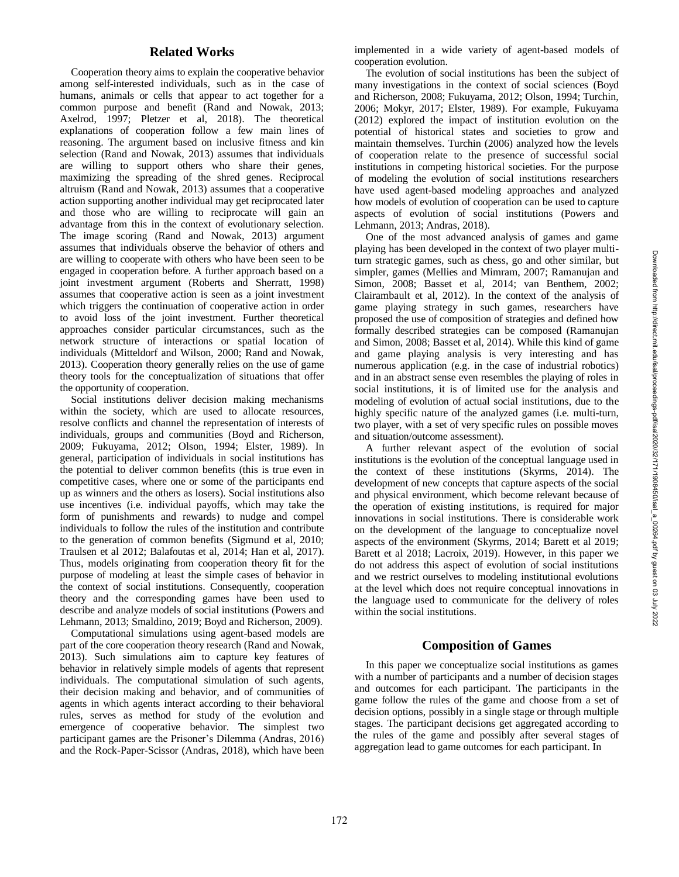### **Related Works**

Cooperation theory aims to explain the cooperative behavior among self-interested individuals, such as in the case of humans, animals or cells that appear to act together for a common purpose and benefit (Rand and Nowak, 2013; Axelrod, 1997; Pletzer et al, 2018). The theoretical explanations of cooperation follow a few main lines of reasoning. The argument based on inclusive fitness and kin selection (Rand and Nowak, 2013) assumes that individuals are willing to support others who share their genes, maximizing the spreading of the shred genes. Reciprocal altruism (Rand and Nowak, 2013) assumes that a cooperative action supporting another individual may get reciprocated later and those who are willing to reciprocate will gain an advantage from this in the context of evolutionary selection. The image scoring (Rand and Nowak, 2013) argument assumes that individuals observe the behavior of others and are willing to cooperate with others who have been seen to be engaged in cooperation before. A further approach based on a joint investment argument (Roberts and Sherratt, 1998) assumes that cooperative action is seen as a joint investment which triggers the continuation of cooperative action in order to avoid loss of the joint investment. Further theoretical approaches consider particular circumstances, such as the network structure of interactions or spatial location of individuals (Mitteldorf and Wilson, 2000; Rand and Nowak, 2013) . Cooperation theory generally relies on the use of game theory tools for the conceptualization of situations that offer the opportunity of cooperation.

Social institutions deliver decision making mechanisms within the society, which are used to allocate resources, resolve conflicts and channel the representation of interests of individuals, groups and communities (Boyd and Richerson, 200 9; Fukuyama, 2012; Olson, 1994; Elster, 1989). In general, participation of individuals in social institutions has the potential to deliver common benefits (this is true even in competitive cases, where one or some of the participants end up as winners and the others as losers). Social institutions also use incentives (i.e. individual payoffs, which may take the form of punishments and rewards) to nudge and compel individuals to follow the rules of the institution and contribute to the generation of common benefits (Sigmund et al, 2010; Traulsen et al 2012; Balafoutas et al, 201 4; Han et al, 2017 ) . Thus, models originating from cooperation theory fit for the purpose of modeling at least the simple cases of behavior in the context of social institutions. Consequently, cooperation theory and the corresponding games have been used to describe and analyze models of social institutions (Powers and Lehmann, 2013; Smaldino, 2019; Boyd and Richerson, 2009 ) .

Computational simulations using agent -based models are part of the core cooperation theory research (Rand and Nowak, 2013 ). Such simulations aim to capture key features of behavior in relatively simple models of agents that represent individuals. The computational simulation of such agents, their decision making and behavior, and of communities of agents in which agents interact according to their behavioral rules, serves as method for study of the evolution and emergence of cooperative behavior. The simplest two participant games are the Prisoner's Dilemma (Andras, 2016) and the Rock -Paper -Scissor (Andras, 2018), which have been

implemented in a wide variety of agent -based models of cooperation evolution.

The evolution of social institutions ha s been the subject of many investigations in the context of social sciences (Boyd and Richerson, 200 8; Fukuyama, 2012; Olson, 1994; Turchin, 2006; Mokyr, 2017; Elster, 1989). For example, Fukuyama (2012) explored the impact of institution evolution on the potential of historical states and societies to grow and maintain themselves. Turchin (2006) analyzed how the levels of cooperation relate to the presence of successful social institutions in competing historical societies. For the purpose of modeling the evolution of social institutions researchers have used agent -based modeling approaches and analyzed how models of evolution of cooperation can be used to capture aspects of evolution of social institutions (Powers and Lehmann, 2013; Andras, 2018) .

One of the most advanced analysis of games and game playing has been developed in the context of two player multi turn strategic games, such as chess, go and other similar, but simpler, games (Mellies and Mimram, 2007; Ramanujan and Simon, 2008; Basset et al, 2014; van Benthem, 200 2; Clairambault et al, 2012). In the context of the analysis of game playing strategy in such games, researchers have proposed the use of composition of strategies and defined how formally described strategies can be composed (Ramanujan and Simon, 2008; Basset et al, 2014). While this kind of game and game playing analysis is very interesting and has numerous application (e.g. in the case of industrial robotics) and in an abstract sense even resembles the playing of roles in social institutions, it is of limited use for the analysis and modeling of evolution of actual social institutions, due to the highly specific nature of the analyzed games (i.e. multi -turn, two player, with a set of very specific rules on possible moves and situation/outcome assessment).

A further relevant aspect of the evolution of social institutions is the evolution of the conceptual language used in the context of these institutions (Skyrms, 2014). The development of new concepts that capture aspects of the social and physical environment, which become relevant because of the operation of existing institutions, is required for major innovations in social institutions. There is considerable work on the development of the language to conceptualize novel aspects of the environment (Skyrms, 2014; Barett et al 2019; Barett et al 2018; Lacroix, 2019). However, in this paper we do not address this aspect of evolution of social institutions and we restrict ourselves to modeling institutional evolutions at the level which does not require conceptual innovations in the language used to communicate for the delivery of roles within the social institutions.

#### **Composition of Games**

In this paper we conceptualize social institutions as games with a number of participants and a number of decision stages and outcomes for each participant. The participants in the game follow the rules of the game and choose from a set of decision options, possibly in a single stage or through multiple stages. The participant decisions get aggregated according to the rules of the game and possibly after several stages of aggregation lead to game outcomes for each participant. In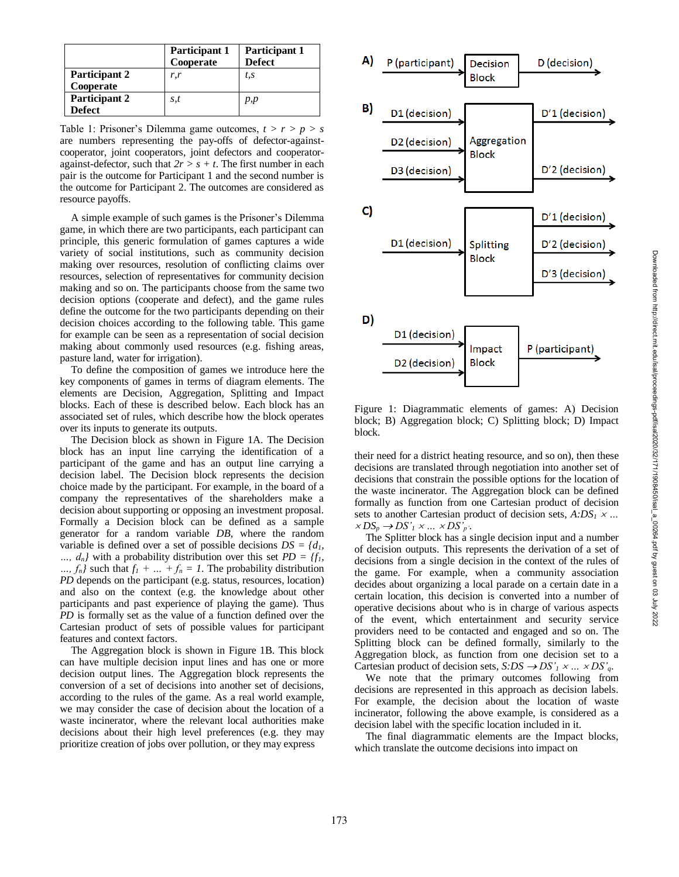|                                | Participant 1<br>Cooperate | Participant 1<br><b>Defect</b> |
|--------------------------------|----------------------------|--------------------------------|
| Participant 2<br>Cooperate     | r,r                        | t, s                           |
| Participant 2<br><b>Defect</b> | s,t                        | p,p                            |

Table 1: Prisoner's Dilemma game outcomes, *t > r > p > s* are numbers representing the pay-offs of defector-againstcooperator, joint cooperators, joint defectors and cooperator against-defector, such that  $2r > s + t$ . The first number in each pair is the outcome for Participant 1 and the second number is the outcome for Participant 2. The outcomes are considered as resource payoffs.

A simple example of such games is the Prisoner's Dilemma game, in which there are two participants, each participant can principle, this generic formulation of games captures a wide variety of social institutions, such as community decision making over resources, resolution of conflicting claims over resources, selection of representatives for community decision making and so on. The participants choose from the same two decision options (cooperate and defect), and the game rules define the outcome for the two participants depending on their decision choices according to the following table. This game for example can be seen as a representation of social decision making about commonly used resources (e.g. fishing areas, pasture land, water for irrigation).

To define the composition of games we introduce her e the key components of games in terms of diagram elements. The elements are Decision, Aggregation, Splitting and Impact blocks. Each of these is described below. Each block has an associated set of rules, which describe how the block operates over its inputs to generate its outputs.

The Decision block as shown in Figure 1A. The Decision block has an input line carrying the identification of a participant of the game and has an output line carrying a decision label. The Decision block represents the decision choice made by the participant. For example, in the board of a company the representatives of the shareholders make a decision about supporting or opposing an investment proposal. Formally a Decision block can be defined as a sample generator for a random variable *DB*, where the random variable is defined over a set of possible decisions  $DS = \{d_1, d_2, \ldots, d_k\}$ …,  $d_n$  with a probability distribution over this set  $PD = \{f_1, f_2, \ldots, f_n\}$ …,  $f_n$  such that  $f_1 + ... + f_n = 1$ . The probability distribution *PD* depends on the participant (e.g. status, resources, location) and also on the context (e.g. the knowledge about other participants and past experience of playing the game). Thus *PD* is formally set as the value of a function defined over the Cartesian product of sets of possible values for participant features and context factors.

The Aggregation block is shown in Figure 1B. This block can have multiple decision input lines and has one or more decision output lines. The Aggregation block represents the conversion of a set of decisions into another set of decisions, according to the rules of the game. As a real world example, we may consider the case of decision about the location of a waste incinerator, where the relevant local authorities make decisions about their high level preferences (e.g. they may prioritize creation of jobs over pollution, or they may express



Figure 1: Diagrammatic elements of games: A) Decision block; B) Aggregation block; C) Splitting block; D) Impact block.

their need for a district heating resource, and so on), then these decisions are translated through negotiation into another set of decisions that constrain the possible options for the location of the waste incinerator. The Aggregation block can be defined formally as function from one Cartesian product of decision sets to another Cartesian product of decision sets,  $A:DS_1 \times ...$  $\times DS_p \rightarrow DS'_1 \times ... \times DS'_{p'}.$ 

The Splitter block has a single decision input and a number of decision outputs. This represents the derivation of a set of decisions from a single decision in the context of the rules of the game. For example, when a community association decides about organizing a local parade on a certain date in a certain location, this decision is converted into a number of operative decisions about who is in charge of various aspects of the event, which entertainment and security service providers need to be contacted and engaged and so on. The Splitting block can be defined formally, similarly to the Aggregation block, as function from one decision set to a Cartesian product of decision sets,  $S:DS \rightarrow DS'_{1} \times ... \times DS'_{q}$ .

We note that the primary outcomes following from decisions are represented in this approach as decision labels. For example, the decision about the location of waste incinerator, following the above example, is considered as a decision label with the specific location included in it.

The final diagrammatic elements are the Impact blocks, which translate the outcome decisions into impact on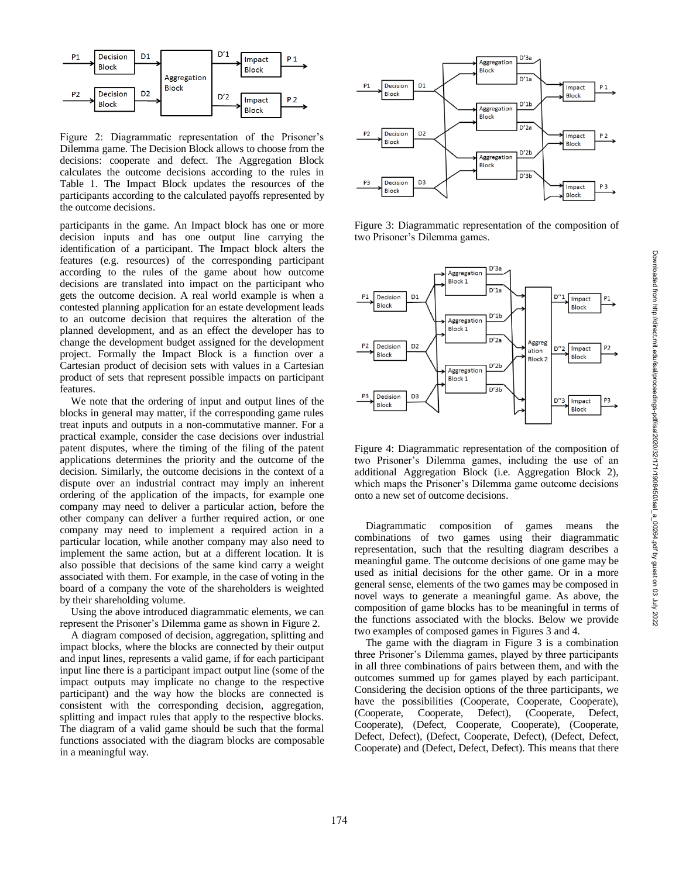

Figure 2: Diagrammatic representation of the Prisoner's Dilemma game. The Decision Block allows to choose from the decisions: cooperate and defect. The Aggregation Block calculates the outcome decisions according to the rules in Table 1. The Impact Block updates the resources of the participants according to the calculated payoffs represented by the outcome decisions.

participants in the game. An Impact block has one or more decision inputs and has one output line carrying the identification of a participant. The Impact block alters the features (e.g. resources) of the corresponding participant according to the rules of the game about how outcome decisions are translated into impact on the participant who gets the outcome decision. A real world example is when a contested planning application for an estate development leads to an outcome decision that requires the alteration of the planned development, and as an effect the developer has to change the development budget assigned for the development project. Formally the Impact Block is a function over a Cartesian product of decision sets with values in a Cartesian product of sets that represent possible impacts on participant features.

We note that the ordering of input and output lines of the blocks in general may matter, if the corresponding game rules treat inputs and outputs in a non -commutative manner. For a practical example, consider the case decisions over industrial patent disputes, where the timing of the filing of the patent applications determines the priority and the outcome of the decision. Similarly, the outcome decisions in the context of a dispute over an industrial contract may imply an inherent ordering of the application of the impacts, for example one company may need to deliver a particular action, before the other company can deliver a further required action, or one company may need to implement a required action in a particular location, while another company may also need to implement the same action, but at a different location. It is also possible that decisions of the same kind carry a weight associated with them. For example, in the case of voting in the board of a company the vote of the shareholders is weighted by their shareholding volume.

Using the above introduced diagrammatic elements, we can represent the Prisoner's Dilemma game as shown in Figure 2.

A diagram composed of decision, aggregation, splitting and impact blocks, where the blocks are connected by their output and input lines, represents a valid game, if for each participant input line there is a participant impact output line (some of the impact outputs may implicate no change to the respective participant) and the way how the blocks are connected is consistent with the corresponding decision, aggregation, splitting and impact rules that apply to the respective blocks. The diagram of a valid game should be such that the formal functions associated with the diagram blocks are composable in a meaningful way.



Figure 3: Diagrammatic representation of the composition of two Prisoner's Dilemma games.



Figure 4: Diagrammatic representation of the composition of two Prisoner's Dilemma games, including the use of an additional Aggregation Block (i.e. Aggregation Block 2), which maps the Prisoner's Dilemma game outcome decisions onto a new set of outcome decisions.

Diagrammatic composition of games means the combinations of two games using their diagrammatic representation, such that the resulting diagram describes a meaningful game. The outcome decisions of one game may be used as initial decisions for the other game. Or in a more general sense, elements of the two games may be composed in novel ways to generate a meaningful game. As above, the composition of game blocks has to be meaningful in terms of the functions associated with the blocks. Below we provide two examples of composed games in Figures 3 and 4.

The game with the diagram in Figure 3 is a combination three Prisoner's Dilemma games, played by three participants in all three combinations of pairs between them, and with the outcomes summed up for games played by each participant. Considering the decision options of the three participants, we have the possibilities (Cooperate, Cooperate, Cooperate), (Cooperate, Cooperate, Defect), (Cooperate, Defect, Cooperate), (Defect, Cooperate, Cooperate), (Cooperate, Defect, Defect), (Defect, Cooperate, Defect), (Defect, Defect, Cooperate) and (Defect, Defect, Defect). This means that there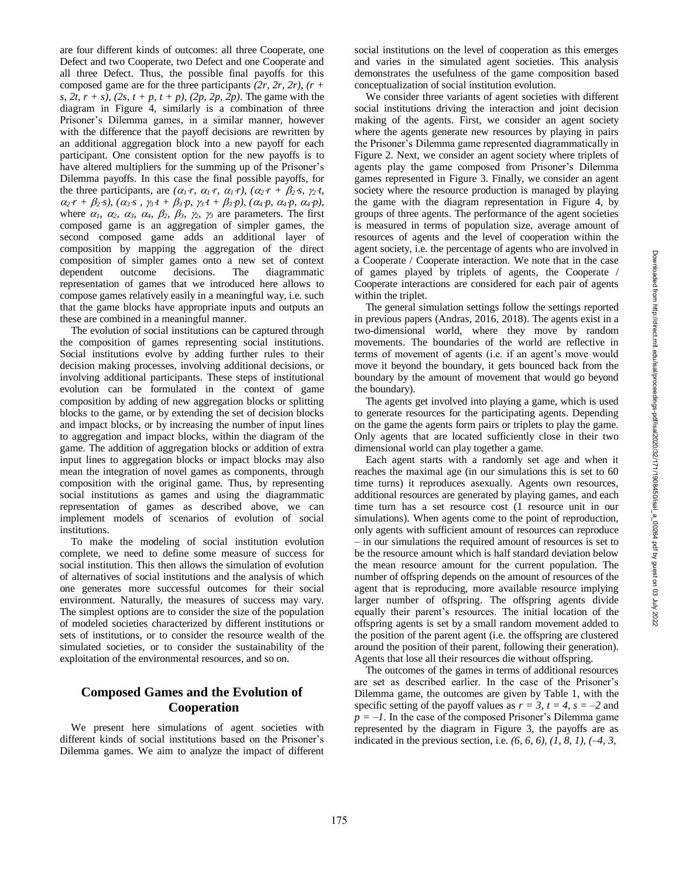are four different kinds of outcomes: all three Cooperate, one Defect and two Cooperate, two Defect and one Cooperate and all three Defect. Thus, the possible final payoffs for this composed game are for the three participants *(2r, 2r, 2r), (r + s, 2t, r + s), (2s, t + p, t + p), (2p, 2p, 2p)*. The game with the diagram in Figure 4, similarly is a combination of three Prisoner's Dilemma games, in a similar manner, however with the difference that the payoff decisions are rewritten by an additional aggregation block into a new payoff for each participant. One consistent option for the new payoffs is to have altered multipliers for the summing up of the Prisoner's Dilemma payoffs. In this case the final possible payoffs, for the three participants, are  $(a_1r, a_1r, a_1r), (a_2r + b_2s, \gamma_2t,$  $\alpha_2 \cdot r + \beta_2 \cdot s$ ,  $(\alpha_3 \cdot s, \gamma_3 \cdot t + \beta_3 \cdot p, \gamma_3 \cdot t + \beta_3 \cdot p)$ ,  $(\alpha_4 \cdot p, \alpha_4 \cdot p, \alpha_4 \cdot p)$ , where  $\alpha_1$ ,  $\alpha_2$ ,  $\alpha_3$ ,  $\alpha_4$ ,  $\beta_2$ ,  $\beta_3$ ,  $\gamma_2$ ,  $\gamma_3$  are parameters. The first composed game is an aggregation of simpler games, the second composed game adds an additional layer of composition by mapping the aggregation of the direct composition of simpler games onto a new set of context dependent outcome decisions. The diagrammatic representation of games that we introduced here allows to compose games relatively easily in a meaningful way, i.e. such that the game blocks have appropriate inputs and outputs an these are combined in a meaningful manner.

The evolution of social institutions can be captured through the composition of games representing social institutions. Social institutions evolve by adding further rules to their decision making processes, involving additional decisions, or involving additional participants. These steps of institutional evolution can be formulated in the context of game composition by adding of new aggregation blocks or splitting blocks to the game, or by extending the set of decision blocks and impact blocks, or by increasing the number of input lines to aggregation and impact blocks, within the diagram of the game. The addition of aggregation blocks or addition of extra input lines to aggregation blocks or impact blocks may also mean the integration of novel games as components, through composition with the original game. Thus, by representing social institutions as games and using the diagrammatic representation of games as described above, we can implement models of scenarios of evolution of social institutions.

To make the modeling of social institution evolution complete, we need to define some measure of success for social institution. This then allows the simulation of evolution of alternatives of social institutions and the analysis of which one generates more successful outcomes for their social environment. Naturally, the measures of success may vary. The simplest options are to consider the size of the population of modeled societies characterized by different institutions or sets of institutions, or to consider the resource wealth of the simulated societies, or to consider the sustainability of the exploitation of the environmental resources, and so on.

# **Composed Games and the Evolution of Cooperation**

We present here simulations of agent societies with different kinds of social institutions based on the Prisoner's Dilemma games. We aim to analyze the impact of different

social institutions on the level of cooperation as this emerges and varies in the simulated agent societies. This analysis demonstrates the usefulness of the game composition based conceptualization of social institution evolution.

We consider three variants of agent societies with different social institutions driving the interaction and joint decision making of the agents. First, we consider an agent society where the agents generate new resources by playing in pairs the Prisoner's Dilemma game represented diagrammatically in Figure 2. Next, we consider an agent society where triplets of agents play the game composed from Prisoner's Dilemma games represented in Figure 3. Finally, we consider an agent society where the resource production is managed by playing the game with the diagram representation in Figure 4, by groups of three agents. The performance of the agent societies is measured in terms of population size, average amount of resources of agents and the level of cooperation within the agent society, i.e. the percentage of agents who are involved in a Cooperate / Cooperate interaction. We note that in the case of games played by triplets of agents, the Cooperate / Cooperate interactions are considered for each pair of agents within the triplet.

The general simulation settings follow the settings reported in previous papers (Andras, 2016, 2018) . The agents exist in a two -dimensional world, where they move by random movements. The boundaries of the world are reflective in terms of movement of agents (i.e. if an agent's move would move it beyond the boundary, it gets bounced back from the boundary by the amount of movement that would go beyond the boundary).

The agents get involved into playing a game, which is used to generate resources for the participating agents. Depending on the game the agents form pairs or triplets to play the game. Only agents that are located sufficiently close in their two dimensional world can play together a game.

Each agent starts with a randomly set age and when it reaches the maximal age (in our simulations this is set to 60 time turns) it reproduces asexually. Agents own resources, additional resources are generated by playing games, and each time turn has a set resource cost (1 resource unit in our simulations). When agents come to the point of reproduction, only agents with sufficient amount of resources can reproduce – in our simulations the required amount of resources is set to be the resource amount which is half standard deviation below the mean resource amount for the current population. The number of offspring depends on the amount of resources of the agent that is reproducing, more available resource implying larger number of offspring. The offspring agents divide equally their parent's resources. The initial location of the offspring agents is set by a small random movement added to the position of the parent agent (i.e. the offspring are clustered around the position of their parent, following their generation). Agents that lose all their resources die without offspring.

The outcomes of the games in terms of additional resources are set as described earlier. In the case of the Prisoner's Dilemma game, the outcomes are given by Table 1, with the specific setting of the payoff values as  $r = 3$ ,  $t = 4$ ,  $s = -2$  and  $p = -1$ . In the case of the composed Prisoner's Dilemma game represented by the diagram in Figure 3, the payoffs are as indicated in the previous section, i.e.  $(6, 6, 6)$ ,  $(1, 8, 1)$ ,  $(-4, 3, 1)$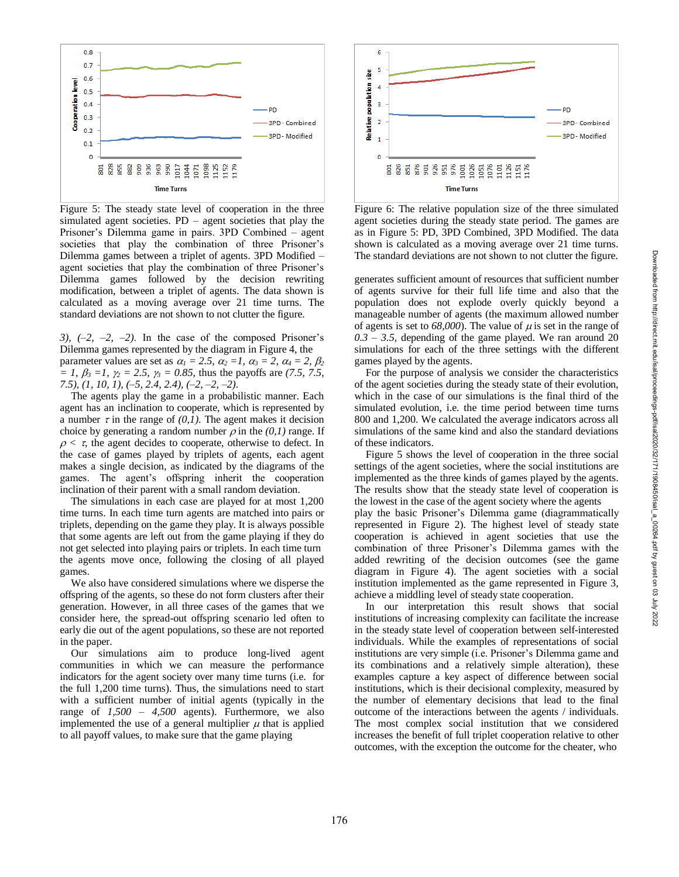



88888888569999999

**Time Turns** 

6

5

 $\overline{4}$ 

3

 $\overline{2}$ 

 $\overline{1}$ 

C

Relative population size

For the purpose of analysis we consider the characteristics of the agent societies during the steady state of their evolution, which in the case of our simulations is the final third of the simulated evolution, i.e. the time period between time turns 800 and 1,200. We calculated the average indicators across all simulations of the same kind and also the standard deviations of these indicators.

Figure 5 shows the level of cooperation in the three social settings of the agent societies, where the social institutions are implemented as the three kinds of games played by the agents. The results show that the steady state level of cooperation is the lowest in the case of the agent society where the agents play the basic Prisoner's Dilemma game (diagrammatically represented in Figure 2). The highest level of steady state cooperation is achieved in agent societies that use the combination of three Prisoner's Dilemma games with the

added rewriting of the decision outcomes (see the game diagram in Figure 4). The agent societies with a social institution implemented as the game represented in Figure 3, achieve a middling level of steady state cooperation.

In our interpretation this result shows that social institutions of increasing complexity can facilitate the increase in the steady state level of cooperation between self-interested individuals. While the examples of representations of social institutions are very simple (i.e. Prisoner's Dilemma game and its combinations and a relatively simple alteration), these examples capture a key aspect of difference between social institutions, which is their decisional complexity, measured by the number of elementary decisions that lead to the final outcome of the interactions between the agents / individuals. The most complex social institution that we considered increases the benefit of full triplet cooperation relative to other outcomes, with the exception the outcome for the cheater, who





Figure 5: The steady state level of cooperation in the three simulated agent societies. PD – agent societies that play the Prisoner's Dilemma game in pairs. 3PD Combined – agent societies that play the combination of three Prisoner's Dilemma games between a triplet of agents. 3PD Modified – agent societies that play the combination of three Prisoner's Dilemma games followed by the decision rewriting modification, between a triplet of agents. The data shown is calculated as a moving average over 21 time turns. The standard deviations are not shown to not clutter the figure.

*3), (–2, –2, –2)*. In the case of the composed Prisoner's Dilemma games represented by the diagram in Figure 4, the parameter values are set as  $\alpha_1 = 2.5$ ,  $\alpha_2 = 1$ ,  $\alpha_3 = 2$ ,  $\alpha_4 = 2$ ,  $\beta_2$  $= 1, \beta_3 = 1, \gamma_2 = 2.5, \gamma_3 = 0.85$ , thus the payoffs are (7.5, 7.5, *7.5), (1, 10, 1), ( – 5, 2.4, 2.4), ( – 2, – 2, – 2 )*.

The agents play the game in a probabilistic manner. Each agent has an inclination to cooperate, which is represented by a number  $\tau$  in the range of  $(0,1)$ . The agent makes it decision choice by generating a random number  $\rho$  in the  $(0,1)$  range. If  $\rho < \tau$ , the agent decides to cooperate, otherwise to defect. In the case of games played by triplets of agents, each agent makes a single decision, as indicated by the diagrams of the games. The agent's offspring inherit the cooperation inclination of their parent with a small random deviation.

The simulations in each case are played for at most 1,200 time turns. In each time turn agents are matched into pairs or triplets, depending on the game they play. It is always possible that some agents are left out from the game playing if they do not get selected into playing pairs or triplets. In each time turn the agents move once, following the closing of all played games.

We also have considered simulations where we disperse the offspring of the agents, so these do not form clusters after their generation. However, in all three cases of the games that we consider here, the spread -out offspring scenario led often to early die out of the agent populations, so these are not reported in the paper.

Our simulations aim to produce long -lived agent communities in which we can measure the performance indicators for the agent society over many time turns (i.e. for the full 1,200 time turns). Thus, the simulations need to start with a sufficient number of initial agents (typically in the range of *1,500 – 4,500* agents). Furthermore, we also implemented the use of a general multiplier  $\mu$  that is applied to all payoff values, to make sure that the game playing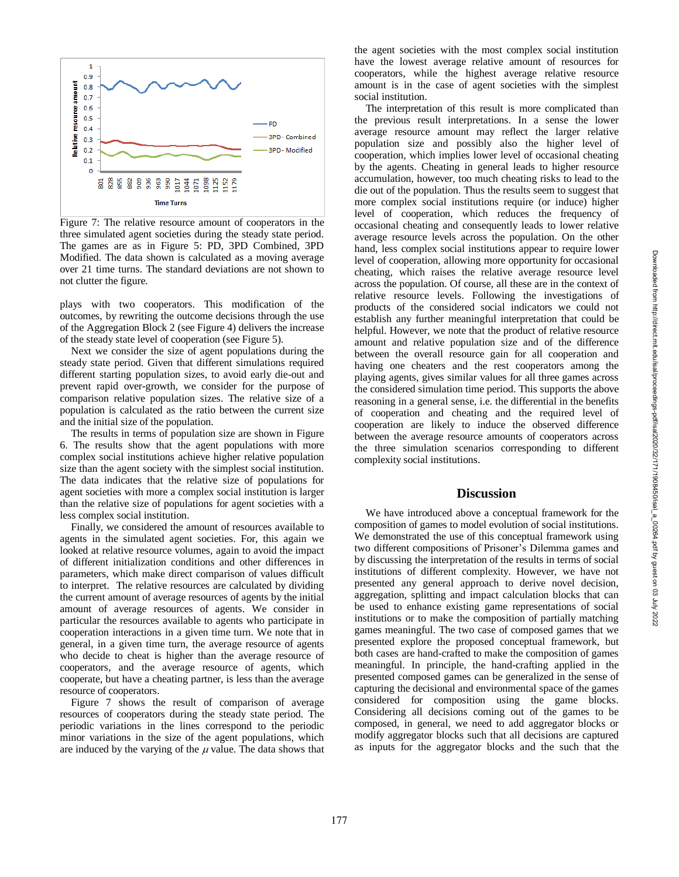

Figure 7: The relative resource amount of cooperators in the three simulated agent societies during the steady state period. The games are as in Figure 5: PD, 3PD Combined, 3PD Modified. The data shown is calculated as a moving average over 21 time turns. The standard deviations are not shown to not clutter the figure.

plays with two cooperators. This modification of the outcomes, by rewriting the outcome decisions through the use of the Aggregation Block 2 (see Figure 4) delivers the increase of the steady state level of cooperation (see Figure 5).

Next we consider the size of agent populations during the steady state period. Given that different simulations required different starting population sizes, to avoid early die -out and prevent rapid over -growth, we consider for the purpose of comparison relative population sizes. The relative size of a population is calculated as the ratio between the current size and the initial size of the population.

The results in terms of population size are shown in Figure 6. The results show that the agent populations with more complex social institutions achieve higher relative population size than the agent society with the simplest social institution. The data indicates that the relative size of populations for agent societies with more a complex social institution is larger than the relative size of populations for agent societies with a less complex social institution.

Finally, we considered the amount of resources available to agents in the simulated agent societies. For, this again we looked at relative resource volumes, again to avoid the impact of different initialization conditions and other differences in parameters, which make direct comparison of values difficult to interpret. The relative resources are calculated by dividing the current amount of average resources of agents by the initial amount of average resources of agents. We consider in particular the resources available to agents who participate in cooperation interactions in a given time turn. We note that in general, in a given time turn, the average resource of agents who decide to cheat is higher than the average resource of cooperators, and the average resource of agents, which cooperate, but have a cheating partner, is less than the average resource of cooperators.

Figure 7 shows the result of comparison of average resources of cooperators during the steady state period. The periodic variations in the lines correspond to the periodic minor variations in the size of the agent populations, which are induced by the varying of the  $\mu$  value. The data shows that

the agent societies with the most complex social institution have the lowest average relative amount of resources for cooperators, while the highest average relative resource amount is in the case of agent societies with the simplest social institution.

The interpretation of this result is more complicated than the previous result interpretations. In a sense the lower average resource amount may reflect the larger relative population size and possibly also the higher level of cooperation, which implies lower level of occasional cheating by the agents. Cheating in general leads to higher resource accumulation, however, too much cheating risks to lead to the die out of the population. Thus the results seem to suggest that more complex social institutions require (or induce) higher level of cooperation, which reduces the frequency of occasional cheating and consequently leads to lower relative average resource levels across the population. On the other hand, less complex social institutions appear to require lower level of cooperation, allowing more opportunity for occasional cheating, which raises the relative average resource level across the population. Of course, all these are in the context of relative resource levels. Following the investigations of products of the considered social indicators we could not establish any further meaningful interpretation that could b e helpful. However, we note that the product of relative resource amount and relative population size and of the difference between the overall resource gain for all cooperation and having one cheaters and the rest cooperators among the playing agents, gives similar values for all three games across the considered simulation time period . This supports the above reasoning in a general sense, i.e. the differential in the benefits of cooperation and cheating and the required level of cooperation are likely to induce the observed difference between the average resource amounts of cooperators across the three simulation scenarios corresponding to different complexity social institutions.

## **Discussion**

We have introduced above a conceptual framework for the composition of games to model evolution of social institutions. We demonstrated the use of this conceptual framework using two different compositions of Prisoner's Dilemma games and by discussing the interpretation of the results in terms of social institutions of different complexity. However, we have not presented any general approach to derive novel decision, aggregation, splitting and impact calculation blocks that can be used to enhance existing game representations of social institutions or to make the composition of partially matching games meaningful. The two case of composed games that we presented explore the proposed conceptual framework, but both cases are hand -crafted to make the composition of games meaningful. In principle, the hand -crafting applied in the presented composed games can be generalized in the sense of capturing the decisional and environmental space of the games considered for composition using the game blocks. Considering all decisions coming out of the games to be composed, in general, we need to add aggregator blocks or modify aggregator blocks such that all decisions are captured as inputs for the aggregator blocks and the such that the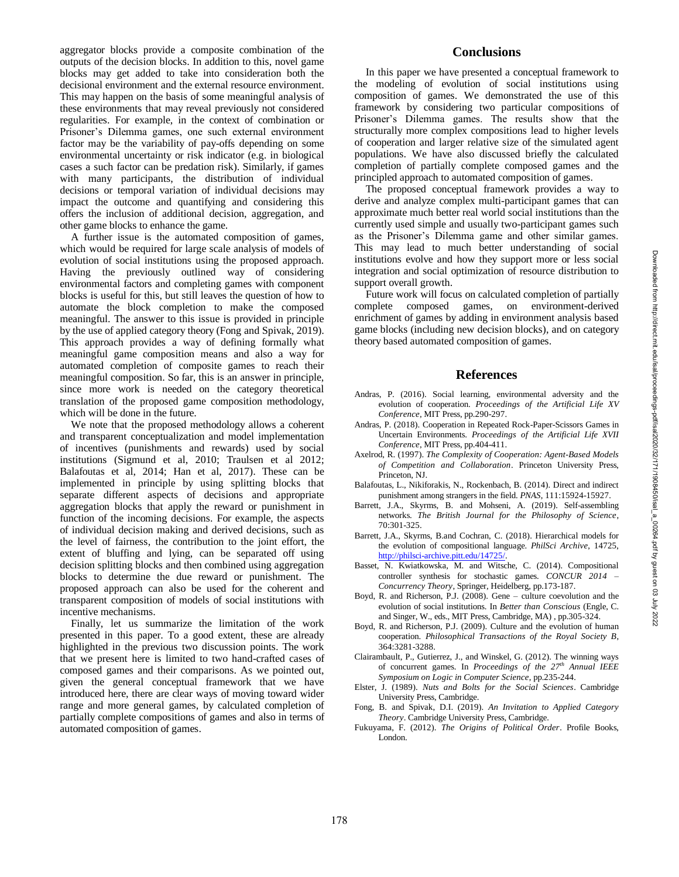aggregator blocks provide a composite combination of the outputs of the decision blocks. In addition to this, novel game blocks may get added to take into consideration both the decisional environment and the external resource environment. This may happen on the basis of some meaningful analysis of these environments that may reveal previously not considered regularities. For example, in the context of combination or Prisoner's Dilemma games, one such external environment factor may be the variability of pay-offs depending on some environmental uncertainty or risk indicator (e.g. in biological cases a such factor can be predation risk). Similarly, if games with many participants, the distribution of individual decisions or temporal variation of individual decisions may impact the outcome and quantifying and considering this offers the inclusion of additional decision, aggregation, and other game blocks to enhance the game.

A further issue is the automated composition of games, which would be required for large scale analysis of models of evolution of social institutions using the proposed approach. Having the previously outlined way of considering environmental factors and completing games with component blocks is useful for this, but still leaves the question of how to automate the block completion to make the composed meaningful. The answer to this issue is provided in principle by the use of applied category theory (Fong and Spivak, 2019). This approach provides a way of defining formally what meaningful game composition means and also a way for automated completion of composite games to reach their meaningful composition. So far, this is an answer in principle, since more work is needed on the category theoretical translation of the proposed game composition methodology, which will be done in the future.

We note that the proposed methodology allows a coherent and transparent conceptualization and model implementation of incentives (punishments and rewards) used by social institutions (Sigmund et al, 2010; Traulsen et al 2012; Balafoutas et al, 2014; Han et al, 2017). These can be implemented in principle by using splitting blocks that separate different aspects of decisions and appropriate aggregation blocks that apply the reward or punishment in function of the incoming decisions. For example, the aspects of individual decision making and derived decisions, such as the level of fairness, the contribution to the joint effort, the extent of bluffing and lying, can be separated off using decision splitting blocks and then combined using aggregation blocks to determine the due reward or punishment. The proposed approach can also be used for the coherent and transparent composition of models of social institutions with incentive mechanisms.

Finally, let us summarize the limitation of the work presented in this paper. To a good extent, these are already highlighted in the previous two discussion points. The work that we present here is limited to two hand -crafted cases of composed games and their comparisons. As we pointed out, given the general conceptual framework that we have introduced here, there are clear ways of moving toward wider range and more general games, by calculated completion of partially complete compositions of games and also in terms of automated composition of games.

## **Conclusions**

In this paper we have presented a conceptual framework to the modeling of evolution of social institutions using composition of games. We demonstrated the use of this framework by considering two particular compositions of Prisoner's Dilemma games. The results show that the structurally more complex compositions lead to higher levels of cooperation and larger relative size of the simulated agent populations. We have also discussed briefly the calculated completion of partially complete composed games and the principled approach to automated composition of games.

The proposed conceptual framework provides a way to derive and analyze complex multi -participant games that can approximate much better real world social institutions than the currently used simple and usually two -participant games such as the Prisoner's Dilemma game and other similar games. This may lead to much better understanding of social institutions evolve and how they support more or less social integration and social optimization of resource distribution to support overall growth.

Future work will focus on calculated completion of partially complete composed games, on environment -derived enrichment of games by adding in environment analysis based game blocks (including new decision blocks), and on category theory based automated composition of games.

#### **References**

- Andras, P. (2016). Social learning, environmental adversity and the evolution of cooperation. *Proceedings of the Artificial Life XV Conference*, MIT Press, pp.290 -297.
- Andras, P. (2018). Cooperation in Repeated Rock -Paper -Scissors Games in Uncertain Environments. *Proceedings of the Artificial Life XVII Conference*, MIT Press, pp.404 -411.
- Axelrod, R. (1997). *The Complexity of Cooperation: Agent -Based Models of Competition and Collaboration*. Princeton University Press, Princeton, NJ.
- Balafoutas, L., Nikiforakis, N., Rockenbach, B. (2014). Direct and indirect punishment among strangers in the field. *PNAS*, 111:15924 -15927.
- Barrett, J.A., Skyrms, B. and Mohseni, A. (2019). Self-assembling networks. *The British Journal for the Philosophy of Science*, 70:301 -325.
- Barrett, J.A., Skyrms, B.and Cochran, C . (2018) . Hierarchical models for the evolution of compositional language. *PhilSci Archive*, 14725, http://philsci-archive.pitt.edu/14725/.
- Basset, N. Kwiatkowska, M. and Witsche, C. (2014). Compositional controller synthesis for stochastic games. *CONCUR 2014 – Concurrency Theory*, Springer, Heidelberg, pp.173 -187.
- Boyd, R. and Richerson, P.J. (2008). Gene culture coevolution and the evolution of social institutions. In *Better than Conscious* (Engle, C. and Singer, W., eds., MIT Press, Cambridge, MA) , pp.305 -324.
- Boyd, R. and Richerson, P.J. (2009). Culture and the evolution of human cooperation. *Philosophical Transactions of the Royal Society B*, 364:3281 -3288.
- Clairambault, P., Gutierrez, J., and Winskel, G. (2012). The winning ways of concurrent games. In *Proceedings of the 27th Annual IEEE Symposium on Logic in Computer Science*, pp.235 -244.
- Elster, J. (1989). *Nuts and Bolts for the Social Sciences*. Cambridge University Press, Cambridge.
- Fong, B. and Spivak, D.I. (2019). *An Invitation to Applied Category Theory*. Cambridge University Press, Cambridge.
- Fukuyama, F. (2012). *The Origins of Political Order*. Profile Books, London.